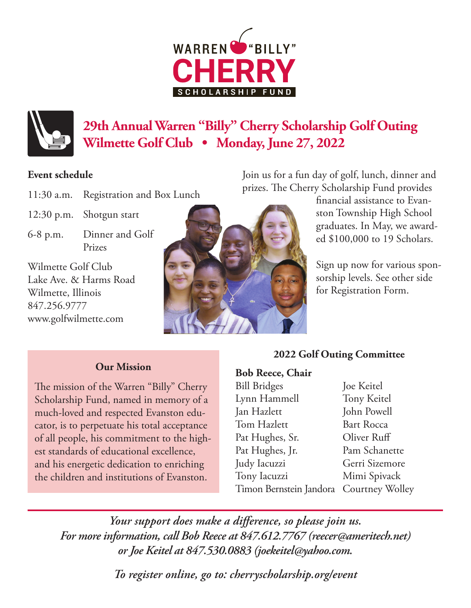# **WARREN ARSH**



# **29th Annual Warren "Billy" Cherry Scholarship Golf Outing Wilmette Golf Club • Monday, June 27, 2022**

### **Event schedule**

- 11:30 a.m. Registration and Box Lunch
- 12:30 p.m. Shotgun start
- 6-8 p.m. Dinner and Golf Prizes

Wilmette Golf Club Lake Ave. & Harms Road Wilmette, Illinois 847.256.9777 www.golfwilmette.com



Join us for a fun day of golf, lunch, dinner and prizes. The Cherry Scholarship Fund provides

financial assistance to Evanston Township High School graduates. In May, we awarded \$100,000 to 19 Scholars.

Sign up now for various sponsorship levels. See other side for Registration Form.

## **Our Mission**

The mission of the Warren "Billy" Cherry Scholarship Fund, named in memory of a much-loved and respected Evanston educator, is to perpetuate his total acceptance of all people, his commitment to the highest standards of educational excellence, and his energetic dedication to enriching the children and institutions of Evanston.

## **2022 Golf Outing Committee**

#### **Bob Reece, Chair**

Bill Bridges Lynn Hammell Jan Hazlett Tom Hazlett Pat Hughes, Sr. Pat Hughes, Jr. Judy Iacuzzi Tony Iacuzzi Timon Bernstein Jandora Courtney Wolley Joe Keitel Tony Keitel John Powell Bart Rocca Oliver Ruff Pam Schanette Gerri Sizemore Mimi Spivack

*Your support does make a difference, so please join us. For more information, call Bob Reece at 847.612.7767 (reecer@ameritech.net) or Joe Keitel at 847.530.0883 (joekeitel@yahoo.com.*

*To register online, go to: cherryscholarship.org/event*